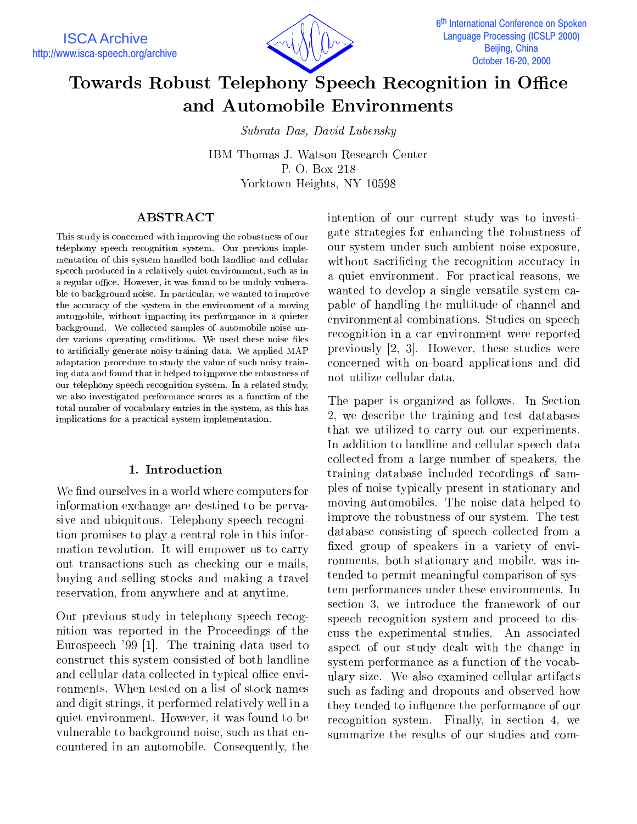

# Towards Robust Telephony Speech Recognition in Office and Automobile Environments

Subrata Das, David Lubensky

IBM Thomas J. Watson Research Center P. O. Box 218 Yorktown Heights, NY 10598

# ABSTRACT

This study is concerned with improving the robustness of our telephony speech recognition system. Our previous imple mentation of this system handled both landline and cellular speech produced in a relatively quiet environment, such as in a regular office. However, it was found to be unduly vulnerable to background noise. In particular, we wanted to improve the accuracy of the system in the environment of a moving automobile, without impacting its performance in a quieter background. We collected samples of automobile noise un der various operating conditions. We used these noise files to articially generate noisy training data. We applied MAP adaptation procedure to study the value of such noisy training data and found that it helped to improve the robustness of our telephony speech recognition system. In a related study, we also investigated performance scores as a function of the total number of vocabulary entries in the system, as this has implications for a practical system implementation.

# 1. Introduction

We find ourselves in a world where computers for information exchange are destined to be pervasive and ubiquitous. Telephony speech recognition promises to play a central role in this information revolution. It will empower us to carry out transactions such as checking our e-mails, buying and selling stocks and making a travel reservation, from anywhere and at anytime.

Our previous study in telephony speech recognition was reported in the Proceedings of the Eurospeech '99 [1]. The training data used to construct this system consisted of both landline and cellular data collected in typical office environments. When tested on a list of stock names and digit strings, it performed relatively well in a quiet environment. However, it was found to be vulnerable to background noise, such as that encountered in an automobile. Consequently, the

intention of our current study was to investigate strategies for enhancing the robustness of our system under such ambient noise exposure, without sacrificing the recognition accuracy in a quiet environment. For practical reasons, we wanted to develop a single versatile system capable of handling the multitude of channel and environmental combinations. Studies on speech recognition in a car environment were reported previously [2, 3]. However, these studies were concerned with on-board applications and did not utilize cellular data.

The paper is organized as follows. In Section 2, we describe the training and test databases that we utilized to carry out our experiments. In addition to landline and cellular speech data collected from a large number of speakers, the training database included recordings of samples of noise typically present in stationary and moving automobiles. The noise data helped to improve the robustness of our system. The test database consisting of speech collected from a xed group of speakers in a variety of environments, both stationary and mobile, was intended to permit meaningful comparison of system performances under these environments. In section 3, we introduce the framework of our speech recognition system and proceed to discuss the experimental studies. An associated aspect of our study dealt with the change in system performance as a function of the vocabulary size. We also examined cellular artifacts such as fading and dropouts and observed how they tended to influence the performance of our recognition system. Finally, in section 4, we summarize the results of our studies and com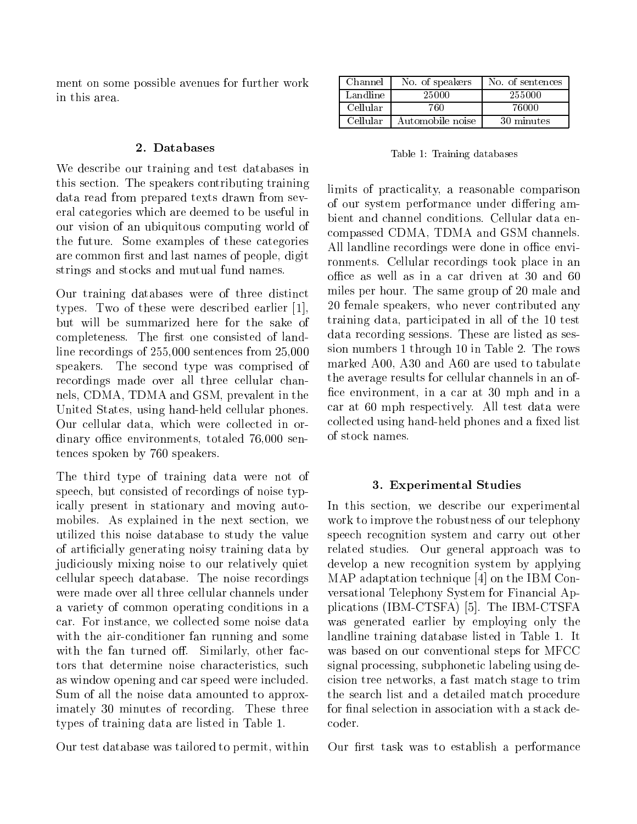ment on some possible avenues for further work in this area.

#### 2. Databases

We describe our training and test databases in this section. The speakers contributing training data read from prepared texts drawn from several categories which are deemed to be useful in our vision of an ubiquitous computing world of the future. Some examples of these categories are common first and last names of people, digit strings and stocks and mutual fund names.

Our training databases were of three distinct types. Two of these were described earlier [1], but will be summarized here for the sake of completeness. The first one consisted of landline recordings of 255,000 sentences from 25,000 speakers. The second type was comprised of recordings made over all three cellular channels, CDMA, TDMA and GSM, prevalent in the United States, using hand-held cellular phones. Our cellular data, which were collected in ordinary office environments, totaled 76,000 sentences spoken by 760 speakers.

The third type of training data were not of speech, but consisted of recordings of noise typically present in stationary and moving automobiles. As explained in the next section, we utilized this noise database to study the value of articially generating noisy training data by judiciously mixing noise to our relatively quiet cellular speech database. The noise recordings were made over all three cellular channels under a variety of common operating conditions in a car. For instance, we collected some noise data with the air-conditioner fan running and some with the fan turned off. Similarly, other factors that determine noise characteristics, such as window opening and car speed were included. Sum of all the noise data amounted to approximately 30 minutes of recording. These three types of training data are listed in Table 1.

Our test database was tailored to permit, within

| Channel  | No. of speakers  | No. of sentences |
|----------|------------------|------------------|
| Landline | 25000            | 255000           |
| Cellular | 760.             | 76000            |
| Cellular | Automobile noise | 30 minutes       |

Table 1: Training databases

limits of practicality, a reasonable comparison of our system performance under differing ambient and channel conditions. Cellular data encompassed CDMA, TDMA and GSM channels. All landline recordings were done in office environments. Cellular recordings took place in an office as well as in a car driven at 30 and 60 miles per hour. The same group of 20 male and 20 female speakers, who never contributed any training data, participated in all of the 10 test data recording sessions. These are listed as session numbers 1 through 10 in Table 2. The rows marked A00, A30 and A60 are used to tabulate the average results for cellular channels in an of fice environment, in a car at 30 mph and in a car at 60 mph respectively. All test data were collected using hand-held phones and a fixed list of stock names.

# 3. Experimental Studies

In this section, we describe our experimental work to improve the robustness of our telephony speech recognition system and carry out other related studies. Our general approach was to develop a new recognition system by applying MAP adaptation technique [4] on the IBM Conversational Telephony System for Financial Applications (IBM-CTSFA) [5]. The IBM-CTSFA was generated earlier by employing only the landline training database listed in Table 1. It was based on our conventional steps for MFCC signal processing, subphonetic labeling using decision tree networks, a fast match stage to trim the search list and a detailed match procedure for final selection in association with a stack decoder.

Our first task was to establish a performance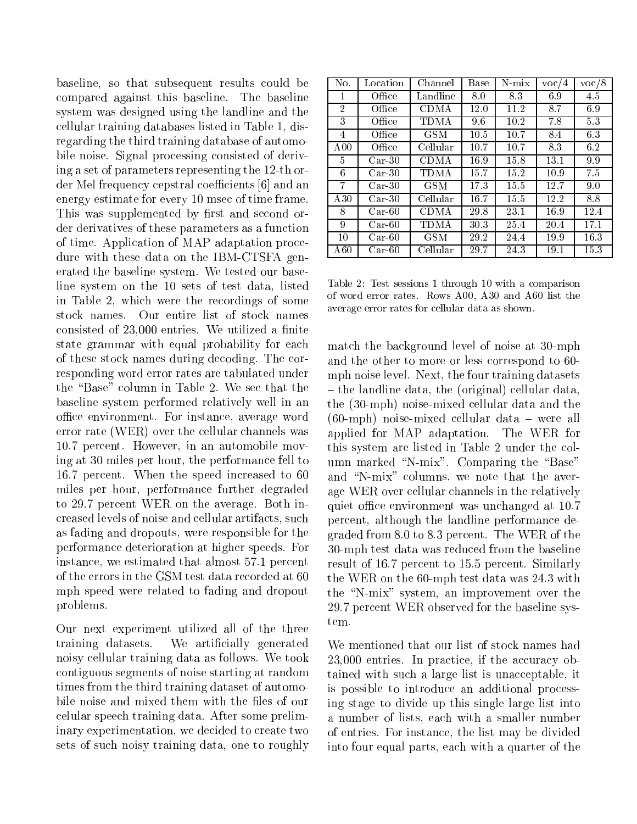baseline, so that subsequent results could be compared against this baseline. The baseline system was designed using the landline and the cellular training databases listed in Table 1, disregarding the third training database of automobile noise. Signal processing consisted of deriving a set of parameters representing the 12-th order Mel frequency cepstral coefficients [6] and an energy estimate for every 10 msec of time frame. This was supplemented by first and second order derivatives of these parameters as a function of time. Application of MAP adaptation procedure with these data on the IBM-CTSFA generated the baseline system. We tested our baseline system on the 10 sets of test data, listed in Table 2, which were the recordings of some stock names. Our entire list of stock names consisted of  $23,000$  entries. We utilized a finite state grammar with equal probability for each of these stock names during decoding. The corresponding word error rates are tabulated under the "Base" column in Table 2. We see that the baseline system performed relatively well in an office environment. For instance, average word error rate (WER) over the cellular channels was 10.7 percent. However, in an automobile moving at 30 miles per hour, the performance fell to 16.7 percent. When the speed increased to 60 miles per hour, performance further degraded to 29.7 percent WER on the average. Both increased levels of noise and cellular artifacts, such as fading and dropouts, were responsible for the performance deterioration at higher speeds. For instance, we estimated that almost 57.1 percent of the errors in the GSM test data recorded at 60 mph speed were related to fading and dropout problems.

Our next experiment utilized all of the three training datasets. We articially generated noisy cellular training data as follows. We took contiguous segments of noise starting at random times from the third training dataset of automobile noise and mixed them with the files of our celular speech training data. After some preliminary experimentation, we decided to create two sets of such noisy training data, one to roughly

| No.             | Location            | Channel     | Base | $N-mix$ | $\text{voc}/4$ | $\rm{voc}/8$ |
|-----------------|---------------------|-------------|------|---------|----------------|--------------|
|                 | Office              | Landline    | 8.0  | 83      | 6.9            | 4.5          |
| 2               | Office              | CDMA        | 12.0 | 11.2    | 8.7            | 6.9          |
| 3               | Office              | TDMA        | 9.6  | 10.2    | 7.8            | 53           |
| 4               | Office              | <b>GSM</b>  | 10.5 | 10.7    | 8.4            | 6.3          |
| A <sub>00</sub> | Office              | Cellular    | 10.7 | 10.7    | 83             | 6.2          |
| 5               | $Car-30$            | CDMA        | 16.9 | 15.8    | 13.1           | 9.9          |
| 6               | $Car-30$            | <b>TDMA</b> | 15.7 | 15.2    | 10.9           | 7.5          |
| 7               | $\rm Car\text{-}30$ | GSM         | 17.3 | 15.5    | 12.7           | 9.0          |
| A30             | $Car-30$            | Cellular    | 16.7 | 15.5    | 12.2           | 8.8          |
| 8               | $\rm Car$ -60       | <b>CDMA</b> | 29.8 | 23.1    | 16.9           | 12.4         |
| 9               | $\rm Car$ -60       | TDMA        | 30.3 | 25.4    | 20.4           | 17.1         |
| 10              | $Car-60$            | <b>GSM</b>  | 29.2 | 24.4    | 19.9           | 16.3         |
| A60             | Car-60              | Cellular    | 29.7 | 24.3    | 19.1           | 15.3         |

Table 2: Test sessions 1 through 10 with a comparison of word error rates. Rows A00, A30 and A60 list the average error rates for cellular data as shown.

match the background level of noise at 30-mph and the other to more or less correspond to 60 mph noise level. Next, the four training datasets { the landline data, the (original) cellular data, the (30-mph) noise-mixed cellular data and the  $(60\text{-mph})$  noise-mixed cellular data – were all applied for MAP adaptation. The WER for this system are listed in Table 2 under the column marked "N-mix". Comparing the "Base" and "N-mix" columns, we note that the average WER over cellular channels in the relatively quiet office environment was unchanged at 10.7 percent, although the landline performance degraded from 8.0 to 8.3 percent. The WER of the 30-mph test data was reduced from the baseline result of 16.7 percent to 15.5 percent. Similarly the WER on the 60-mph test data was 24.3 with the \N-mix" system, an improvement over the 29.7 percent WER observed for the baseline system.

We mentioned that our list of stock names had 23,000 entries. In practice, if the accuracy obtained with such a large list is unacceptable, it is possible to introduce an additional processing stage to divide up this single large list into a number of lists, each with a smaller number of entries. For instance, the list may be divided into four equal parts, each with a quarter of the